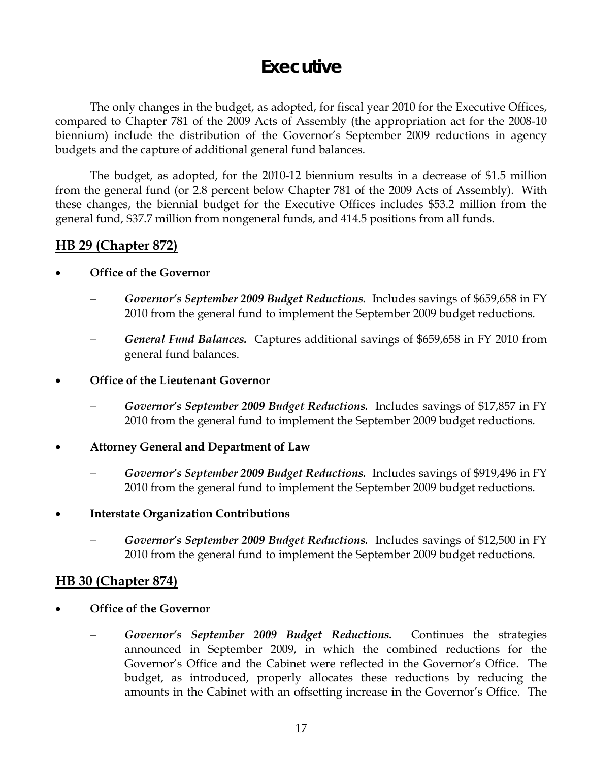# **Executive**

 The only changes in the budget, as adopted, for fiscal year 2010 for the Executive Offices, compared to Chapter 781 of the 2009 Acts of Assembly (the appropriation act for the 2008-10 biennium) include the distribution of the Governor's September 2009 reductions in agency budgets and the capture of additional general fund balances.

The budget, as adopted, for the 2010-12 biennium results in a decrease of \$1.5 million from the general fund (or 2.8 percent below Chapter 781 of the 2009 Acts of Assembly). With these changes, the biennial budget for the Executive Offices includes \$53.2 million from the general fund, \$37.7 million from nongeneral funds, and 414.5 positions from all funds.

## **HB 29 (Chapter 872)**

### • **Office of the Governor**

- − *Governor's September 2009 Budget Reductions.* Includes savings of \$659,658 in FY 2010 from the general fund to implement the September 2009 budget reductions.
- − *General Fund Balances.* Captures additional savings of \$659,658 in FY 2010 from general fund balances.

#### • **Office of the Lieutenant Governor**

- − *Governor's September 2009 Budget Reductions.* Includes savings of \$17,857 in FY 2010 from the general fund to implement the September 2009 budget reductions.
- **Attorney General and Department of Law** 
	- − *Governor's September 2009 Budget Reductions.* Includes savings of \$919,496 in FY 2010 from the general fund to implement the September 2009 budget reductions.

### • **Interstate Organization Contributions**

− *Governor's September 2009 Budget Reductions.* Includes savings of \$12,500 in FY 2010 from the general fund to implement the September 2009 budget reductions.

### **HB 30 (Chapter 874)**

- **Office of the Governor** 
	- Governor's September 2009 Budget Reductions. Continues the strategies announced in September 2009, in which the combined reductions for the Governor's Office and the Cabinet were reflected in the Governor's Office. The budget, as introduced, properly allocates these reductions by reducing the amounts in the Cabinet with an offsetting increase in the Governor's Office. The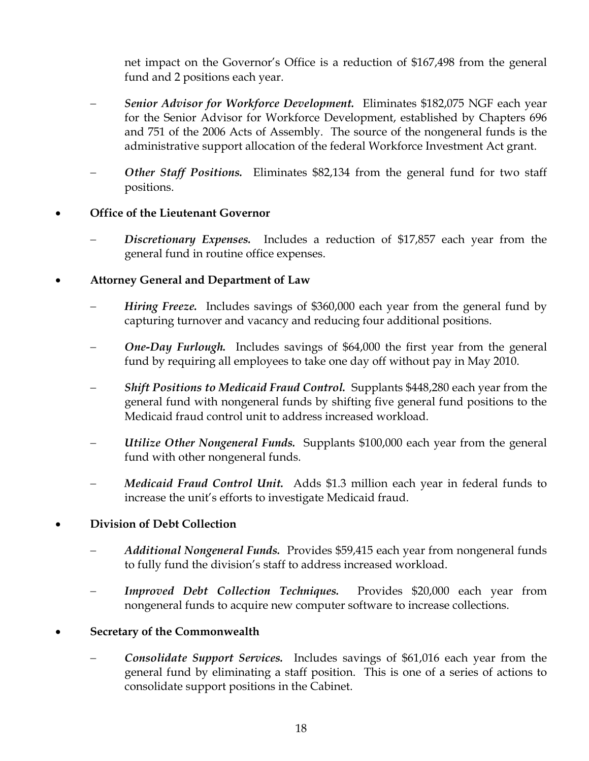net impact on the Governor's Office is a reduction of \$167,498 from the general fund and 2 positions each year.

- − *Senior Advisor for Workforce Development.* Eliminates \$182,075 NGF each year for the Senior Advisor for Workforce Development, established by Chapters 696 and 751 of the 2006 Acts of Assembly. The source of the nongeneral funds is the administrative support allocation of the federal Workforce Investment Act grant.
- **Other Staff Positions.** Eliminates \$82,134 from the general fund for two staff positions.

# • **Office of the Lieutenant Governor**

**Discretionary Expenses.** Includes a reduction of \$17,857 each year from the general fund in routine office expenses.

# • **Attorney General and Department of Law**

- *Hiring Freeze.* Includes savings of \$360,000 each year from the general fund by capturing turnover and vacancy and reducing four additional positions.
- *One-Day Furlough.* Includes savings of \$64,000 the first year from the general fund by requiring all employees to take one day off without pay in May 2010.
- *Shift Positions to Medicaid Fraud Control.* Supplants \$448,280 each year from the general fund with nongeneral funds by shifting five general fund positions to the Medicaid fraud control unit to address increased workload.
- *Utilize Other Nongeneral Funds.* Supplants \$100,000 each year from the general fund with other nongeneral funds.
- *Medicaid Fraud Control Unit.* Adds \$1.3 million each year in federal funds to increase the unit's efforts to investigate Medicaid fraud.

### • **Division of Debt Collection**

- − *Additional Nongeneral Funds.* Provides \$59,415 each year from nongeneral funds to fully fund the division's staff to address increased workload.
- *Improved Debt Collection Techniques.* Provides \$20,000 each year from nongeneral funds to acquire new computer software to increase collections.

# • **Secretary of the Commonwealth**

**Consolidate Support Services.** Includes savings of \$61,016 each year from the general fund by eliminating a staff position. This is one of a series of actions to consolidate support positions in the Cabinet.